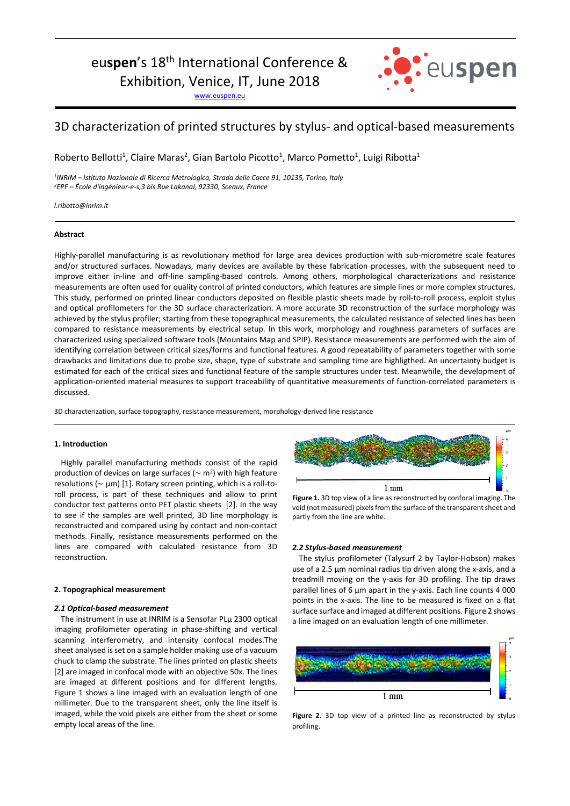# euspen's 18<sup>th</sup> International Conference &

Exhibition, Venice, IT, June 2018

www.euspen.eu



# 3D characterization of printed structures by stylus- and optical-based measurements

Roberto Bellotti<sup>1</sup>, Claire Maras<sup>2</sup>, Gian Bartolo Picotto<sup>1</sup>, Marco Pometto<sup>1</sup>, Luigi Ribotta<sup>1</sup>

*1 INRIM – Istituto Nazionale di Ricerca Metrologica, Strada delle Cacce 91, 10135, Torino, Italy <sup>2</sup>EPF – École d'ingénieur-e-s,3 bis Rue Lakanal, 92330, Sceaux, France* 

*l.ribotta@inrim.it*

## **Abstract**

Highly-parallel manufacturing is as revolutionary method for large area devices production with sub-micrometre scale features and/or structured surfaces. Nowadays, many devices are available by these fabrication processes, with the subsequent need to improve either in-line and off-line sampling-based controls. Among others, morphological characterizations and resistance measurements are often used for quality control of printed conductors, which features are simple lines or more complex structures. This study, performed on printed linear conductors deposited on flexible plastic sheets made by roll-to-roll process, exploit stylus and optical profilometers for the 3D surface characterization. A more accurate 3D reconstruction of the surface morphology was achieved by the stylus profiler; starting from these topographical measurements, the calculated resistance of selected lines has been compared to resistance measurements by electrical setup. In this work, morphology and roughness parameters of surfaces are characterized using specialized software tools (Mountains Map and SPIP). Resistance measurements are performed with the aim of identifying correlation between critical sizes/forms and functional features. A good repeatability of parameters together with some drawbacks and limitations due to probe size, shape, type of substrate and sampling time are highligthed. An uncertainty budget is estimated for each of the critical sizes and functional feature of the sample structures under test. Meanwhile, the development of application-oriented material measures to support traceability of quantitative measurements of function-correlated parameters is discussed.

3D characterization, surface topography, resistance measurement, morphology-derived line resistance

# **1. Introduction**

Highly parallel manufacturing methods consist of the rapid production of devices on large surfaces ( $\sim$  m<sup>2</sup>) with high feature resolutions ( $\sim$  µm) [1]. Rotary screen printing, which is a roll-toroll process, is part of these techniques and allow to print conductor test patterns onto PET plastic sheets [2]. In the way to see if the samples are well printed, 3D line morphology is reconstructed and compared using by contact and non-contact methods. Finally, resistance measurements performed on the lines are compared with calculated resistance from 3D reconstruction.

### **2. Topographical measurement**

#### *2.1 Optical-based measurement*

The instrument in use at INRIM is a Sensofar PLµ 2300 optical imaging profilometer operating in phase-shifting and vertical scanning interferometry, and intensity confocal modes.The sheet analysed is set on a sample holder making use of a vacuum chuck to clamp the substrate. The lines printed on plastic sheets [2] are imaged in confocal mode with an objective 50x. The lines are imaged at different positions and for different lengths. Figure 1 shows a line imaged with an evaluation length of one millimeter. Due to the transparent sheet, only the line itself is imaged, while the void pixels are either from the sheet or some empty local areas of the line.



**Figure 1.** 3D top view of a line as reconstructed by confocal imaging. The void (not measured) pixels from the surface of the transparent sheet and partly from the line are white.

#### *2.2 Stylus-based measurement*

The stylus profilometer (Talysurf 2 by Taylor-Hobson) makes use of a 2.5 µm nominal radius tip driven along the x-axis, and a treadmill moving on the y-axis for 3D profiling. The tip draws parallel lines of 6 µm apart in the y-axis. Each line counts 4 000 points in the x-axis. The line to be measured is fixed on a flat surface surface and imaged at different positions. Figure 2 shows a line imaged on an evaluation length of one millimeter.



Figure 2. 3D top view of a printed line as reconstructed by stylus profiling.